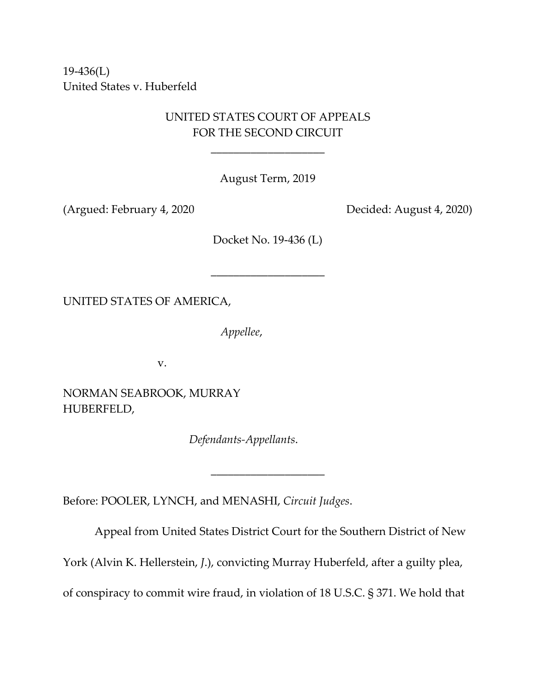19-436(L) United States v. Huberfeld

# UNITED STATES COURT OF APPEALS FOR THE SECOND CIRCUIT

\_\_\_\_\_\_\_\_\_\_\_\_\_\_\_\_\_\_\_\_

August Term, 2019

(Argued: February 4, 2020 Decided: August 4, 2020)

Docket No. 19-436 (L)

\_\_\_\_\_\_\_\_\_\_\_\_\_\_\_\_\_\_\_\_

UNITED STATES OF AMERICA,

*Appellee*,

v.

NORMAN SEABROOK, MURRAY HUBERFELD,

*Defendants-Appellants*.

Before: POOLER, LYNCH, and MENASHI, *Circuit Judges*.

Appeal from United States District Court for the Southern District of New

York (Alvin K. Hellerstein, *J*.), convicting Murray Huberfeld, after a guilty plea,

\_\_\_\_\_\_\_\_\_\_\_\_\_\_\_\_\_\_\_\_

of conspiracy to commit wire fraud, in violation of 18 U.S.C. § 371. We hold that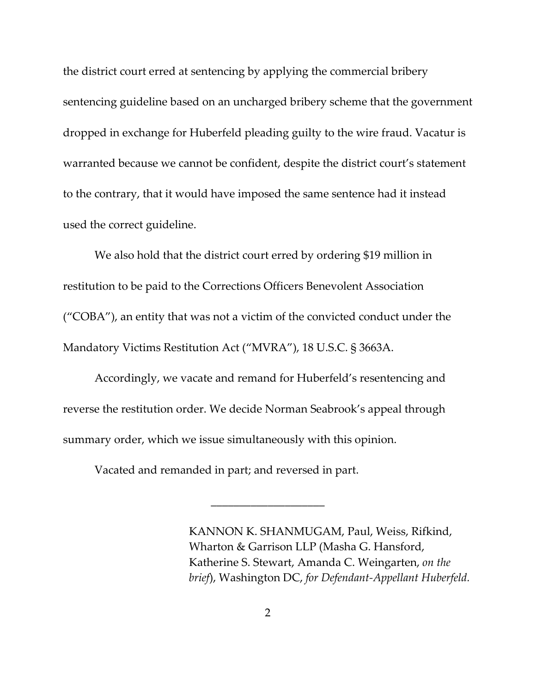the district court erred at sentencing by applying the commercial bribery sentencing guideline based on an uncharged bribery scheme that the government dropped in exchange for Huberfeld pleading guilty to the wire fraud. Vacatur is warranted because we cannot be confident, despite the district court's statement to the contrary, that it would have imposed the same sentence had it instead used the correct guideline.

We also hold that the district court erred by ordering \$19 million in restitution to be paid to the Corrections Officers Benevolent Association ("COBA"), an entity that was not a victim of the convicted conduct under the Mandatory Victims Restitution Act ("MVRA"), 18 U.S.C. § 3663A.

Accordingly, we vacate and remand for Huberfeld's resentencing and reverse the restitution order. We decide Norman Seabrook's appeal through summary order, which we issue simultaneously with this opinion.

Vacated and remanded in part; and reversed in part.

KANNON K. SHANMUGAM, Paul, Weiss, Rifkind, Wharton & Garrison LLP (Masha G. Hansford, Katherine S. Stewart, Amanda C. Weingarten, *on the brief*), Washington DC, *for Defendant-Appellant Huberfeld.*

\_\_\_\_\_\_\_\_\_\_\_\_\_\_\_\_\_\_\_\_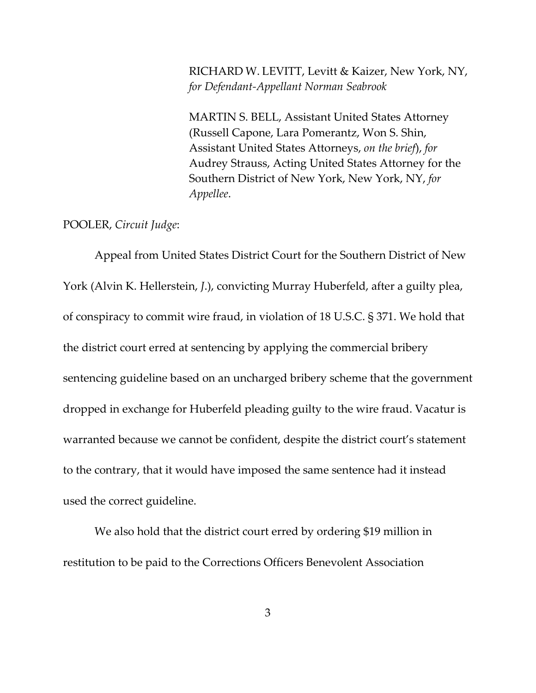RICHARD W. LEVITT, Levitt & Kaizer, New York, NY, *for Defendant-Appellant Norman Seabrook*

MARTIN S. BELL, Assistant United States Attorney (Russell Capone, Lara Pomerantz, Won S. Shin, Assistant United States Attorneys, *on the brief*), *for* Audrey Strauss, Acting United States Attorney for the Southern District of New York, New York, NY, *for Appellee*.

#### POOLER, *Circuit Judge*:

Appeal from United States District Court for the Southern District of New York (Alvin K. Hellerstein, *J*.), convicting Murray Huberfeld, after a guilty plea, of conspiracy to commit wire fraud, in violation of 18 U.S.C. § 371. We hold that the district court erred at sentencing by applying the commercial bribery sentencing guideline based on an uncharged bribery scheme that the government dropped in exchange for Huberfeld pleading guilty to the wire fraud. Vacatur is warranted because we cannot be confident, despite the district court's statement to the contrary, that it would have imposed the same sentence had it instead used the correct guideline.

We also hold that the district court erred by ordering \$19 million in restitution to be paid to the Corrections Officers Benevolent Association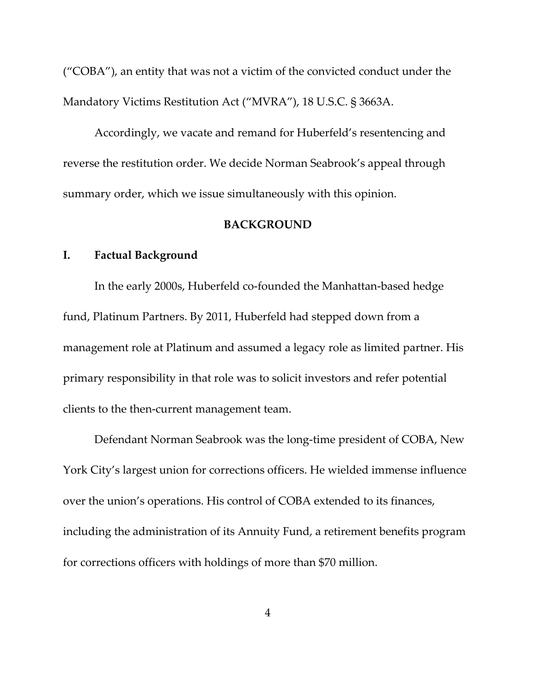("COBA"), an entity that was not a victim of the convicted conduct under the Mandatory Victims Restitution Act ("MVRA"), 18 U.S.C. § 3663A.

Accordingly, we vacate and remand for Huberfeld's resentencing and reverse the restitution order. We decide Norman Seabrook's appeal through summary order, which we issue simultaneously with this opinion.

#### **BACKGROUND**

### **I. Factual Background**

In the early 2000s, Huberfeld co-founded the Manhattan-based hedge fund, Platinum Partners. By 2011, Huberfeld had stepped down from a management role at Platinum and assumed a legacy role as limited partner. His primary responsibility in that role was to solicit investors and refer potential clients to the then-current management team.

Defendant Norman Seabrook was the long-time president of COBA, New York City's largest union for corrections officers. He wielded immense influence over the union's operations. His control of COBA extended to its finances, including the administration of its Annuity Fund, a retirement benefits program for corrections officers with holdings of more than \$70 million.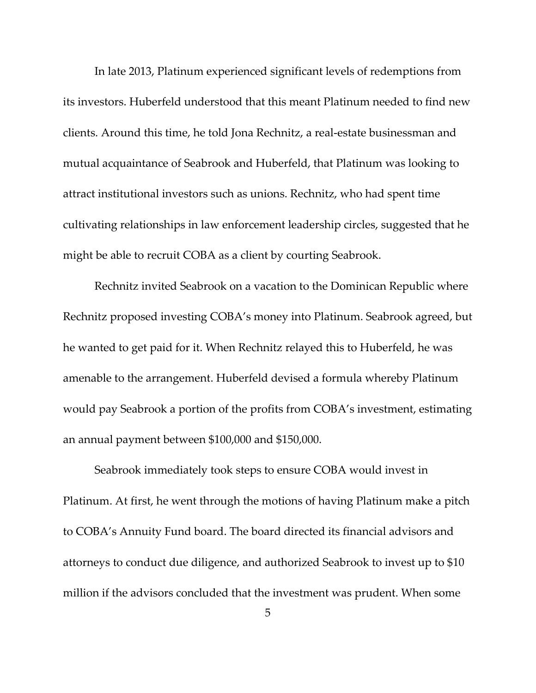In late 2013, Platinum experienced significant levels of redemptions from its investors. Huberfeld understood that this meant Platinum needed to find new clients. Around this time, he told Jona Rechnitz, a real-estate businessman and mutual acquaintance of Seabrook and Huberfeld, that Platinum was looking to attract institutional investors such as unions. Rechnitz, who had spent time cultivating relationships in law enforcement leadership circles, suggested that he might be able to recruit COBA as a client by courting Seabrook.

Rechnitz invited Seabrook on a vacation to the Dominican Republic where Rechnitz proposed investing COBA's money into Platinum. Seabrook agreed, but he wanted to get paid for it. When Rechnitz relayed this to Huberfeld, he was amenable to the arrangement. Huberfeld devised a formula whereby Platinum would pay Seabrook a portion of the profits from COBA's investment, estimating an annual payment between \$100,000 and \$150,000.

Seabrook immediately took steps to ensure COBA would invest in Platinum. At first, he went through the motions of having Platinum make a pitch to COBA's Annuity Fund board. The board directed its financial advisors and attorneys to conduct due diligence, and authorized Seabrook to invest up to \$10 million if the advisors concluded that the investment was prudent. When some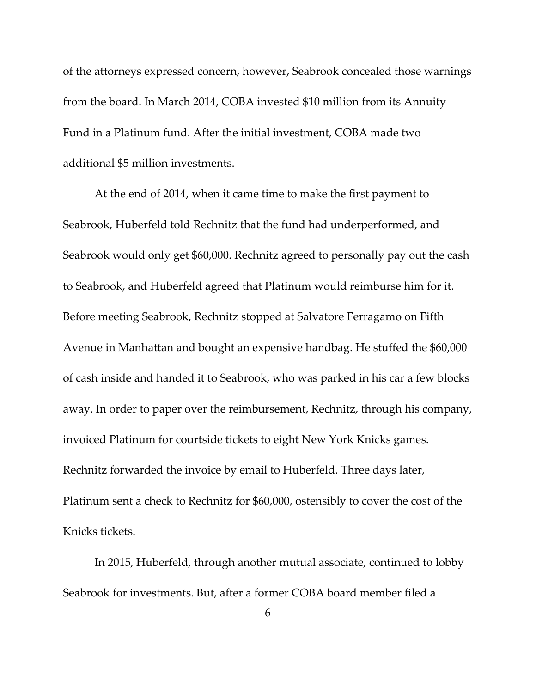of the attorneys expressed concern, however, Seabrook concealed those warnings from the board. In March 2014, COBA invested \$10 million from its Annuity Fund in a Platinum fund. After the initial investment, COBA made two additional \$5 million investments.

At the end of 2014, when it came time to make the first payment to Seabrook, Huberfeld told Rechnitz that the fund had underperformed, and Seabrook would only get \$60,000. Rechnitz agreed to personally pay out the cash to Seabrook, and Huberfeld agreed that Platinum would reimburse him for it. Before meeting Seabrook, Rechnitz stopped at Salvatore Ferragamo on Fifth Avenue in Manhattan and bought an expensive handbag. He stuffed the \$60,000 of cash inside and handed it to Seabrook, who was parked in his car a few blocks away. In order to paper over the reimbursement, Rechnitz, through his company, invoiced Platinum for courtside tickets to eight New York Knicks games. Rechnitz forwarded the invoice by email to Huberfeld. Three days later, Platinum sent a check to Rechnitz for \$60,000, ostensibly to cover the cost of the Knicks tickets.

In 2015, Huberfeld, through another mutual associate, continued to lobby Seabrook for investments. But, after a former COBA board member filed a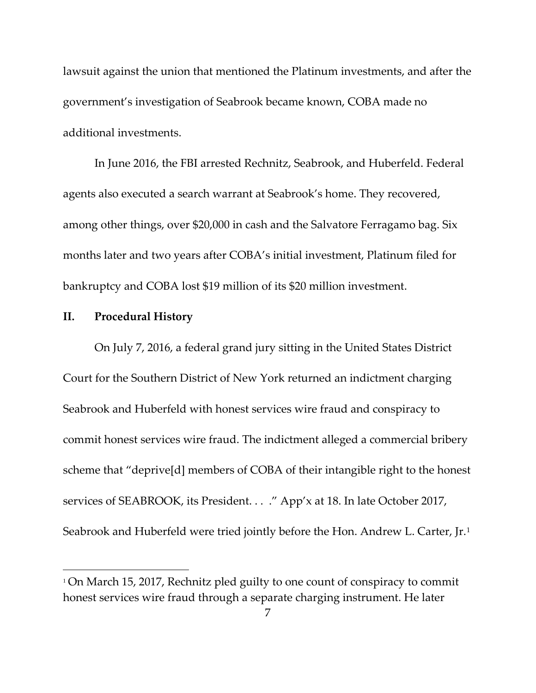lawsuit against the union that mentioned the Platinum investments, and after the government's investigation of Seabrook became known, COBA made no additional investments.

In June 2016, the FBI arrested Rechnitz, Seabrook, and Huberfeld. Federal agents also executed a search warrant at Seabrook's home. They recovered, among other things, over \$20,000 in cash and the Salvatore Ferragamo bag. Six months later and two years after COBA's initial investment, Platinum filed for bankruptcy and COBA lost \$19 million of its \$20 million investment.

#### **II. Procedural History**

On July 7, 2016, a federal grand jury sitting in the United States District Court for the Southern District of New York returned an indictment charging Seabrook and Huberfeld with honest services wire fraud and conspiracy to commit honest services wire fraud. The indictment alleged a commercial bribery scheme that "deprive[d] members of COBA of their intangible right to the honest services of SEABROOK, its President. . . ." App'x at 18. In late October 2017, Seabrook and Huberfeld were tried jointly before the Hon. Andrew L. Carter, Jr.<sup>[1](#page-6-0)</sup>

<span id="page-6-0"></span><sup>1</sup> On March 15, 2017, Rechnitz pled guilty to one count of conspiracy to commit honest services wire fraud through a separate charging instrument. He later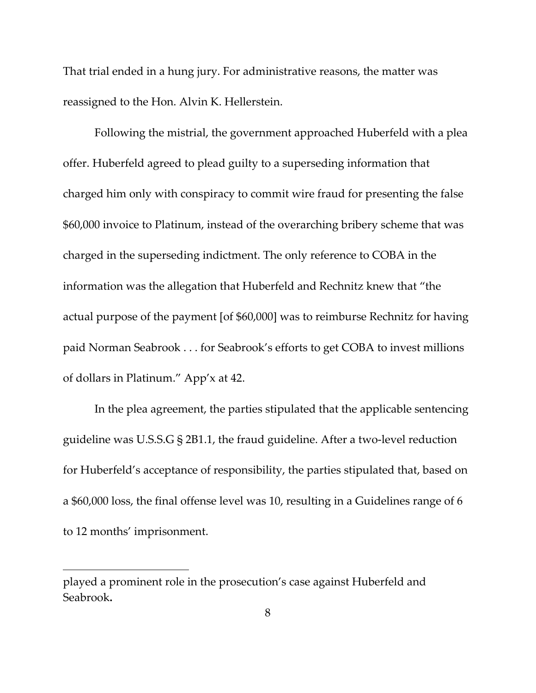That trial ended in a hung jury. For administrative reasons, the matter was reassigned to the Hon. Alvin K. Hellerstein.

Following the mistrial, the government approached Huberfeld with a plea offer. Huberfeld agreed to plead guilty to a superseding information that charged him only with conspiracy to commit wire fraud for presenting the false \$60,000 invoice to Platinum, instead of the overarching bribery scheme that was charged in the superseding indictment. The only reference to COBA in the information was the allegation that Huberfeld and Rechnitz knew that "the actual purpose of the payment [of \$60,000] was to reimburse Rechnitz for having paid Norman Seabrook . . . for Seabrook's efforts to get COBA to invest millions of dollars in Platinum." App'x at 42.

In the plea agreement, the parties stipulated that the applicable sentencing guideline was U.S.S.G § 2B1.1, the fraud guideline. After a two-level reduction for Huberfeld's acceptance of responsibility, the parties stipulated that, based on a \$60,000 loss, the final offense level was 10, resulting in a Guidelines range of 6 to 12 months' imprisonment.

played a prominent role in the prosecution's case against Huberfeld and Seabrook**.**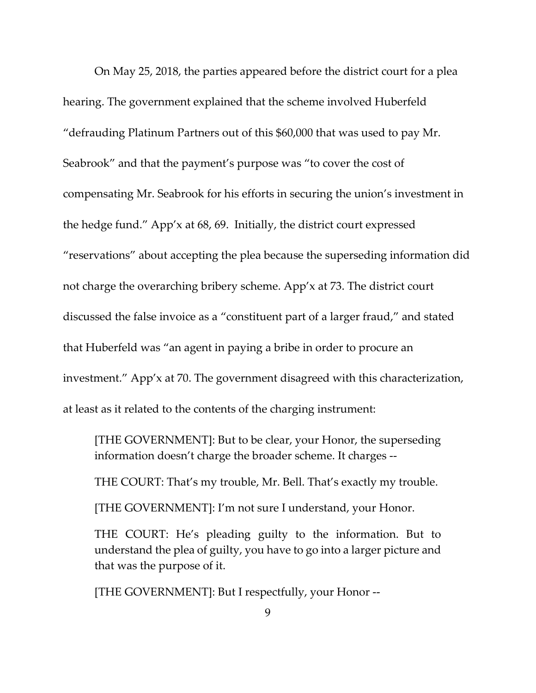On May 25, 2018, the parties appeared before the district court for a plea hearing. The government explained that the scheme involved Huberfeld "defrauding Platinum Partners out of this \$60,000 that was used to pay Mr. Seabrook" and that the payment's purpose was "to cover the cost of compensating Mr. Seabrook for his efforts in securing the union's investment in the hedge fund." App'x at 68, 69. Initially, the district court expressed "reservations" about accepting the plea because the superseding information did not charge the overarching bribery scheme. App'x at 73. The district court discussed the false invoice as a "constituent part of a larger fraud," and stated that Huberfeld was "an agent in paying a bribe in order to procure an investment." App'x at 70. The government disagreed with this characterization, at least as it related to the contents of the charging instrument:

[THE GOVERNMENT]: But to be clear, your Honor, the superseding information doesn't charge the broader scheme. It charges --

THE COURT: That's my trouble, Mr. Bell. That's exactly my trouble.

[THE GOVERNMENT]: I'm not sure I understand, your Honor.

THE COURT: He's pleading guilty to the information. But to understand the plea of guilty, you have to go into a larger picture and that was the purpose of it.

[THE GOVERNMENT]: But I respectfully, your Honor --

9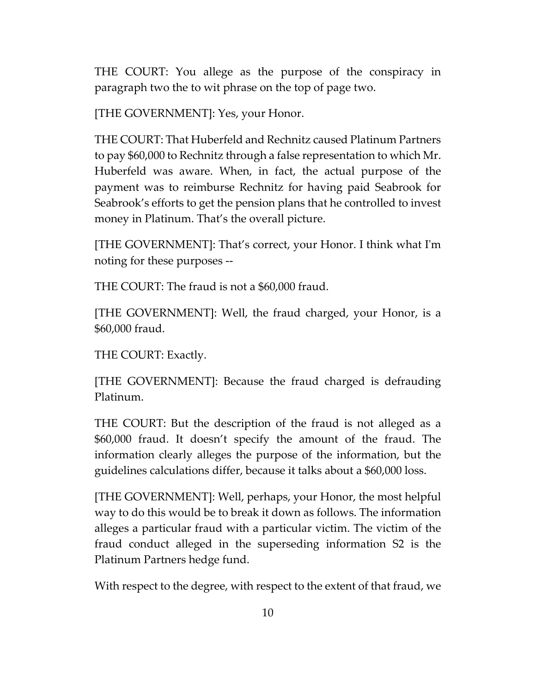THE COURT: You allege as the purpose of the conspiracy in paragraph two the to wit phrase on the top of page two.

[THE GOVERNMENT]: Yes, your Honor.

THE COURT: That Huberfeld and Rechnitz caused Platinum Partners to pay \$60,000 to Rechnitz through a false representation to which Mr. Huberfeld was aware. When, in fact, the actual purpose of the payment was to reimburse Rechnitz for having paid Seabrook for Seabrook's efforts to get the pension plans that he controlled to invest money in Platinum. That's the overall picture.

[THE GOVERNMENT]: That's correct, your Honor. I think what I'm noting for these purposes --

THE COURT: The fraud is not a \$60,000 fraud.

[THE GOVERNMENT]: Well, the fraud charged, your Honor, is a \$60,000 fraud.

THE COURT: Exactly.

[THE GOVERNMENT]: Because the fraud charged is defrauding Platinum.

THE COURT: But the description of the fraud is not alleged as a \$60,000 fraud. It doesn't specify the amount of the fraud. The information clearly alleges the purpose of the information, but the guidelines calculations differ, because it talks about a \$60,000 loss.

[THE GOVERNMENT]: Well, perhaps, your Honor, the most helpful way to do this would be to break it down as follows. The information alleges a particular fraud with a particular victim. The victim of the fraud conduct alleged in the superseding information S2 is the Platinum Partners hedge fund.

With respect to the degree, with respect to the extent of that fraud, we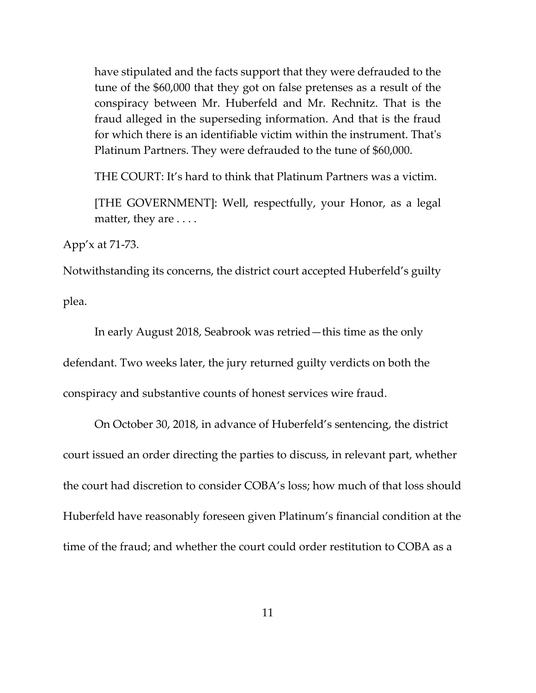have stipulated and the facts support that they were defrauded to the tune of the \$60,000 that they got on false pretenses as a result of the conspiracy between Mr. Huberfeld and Mr. Rechnitz. That is the fraud alleged in the superseding information. And that is the fraud for which there is an identifiable victim within the instrument. That's Platinum Partners. They were defrauded to the tune of \$60,000.

THE COURT: It's hard to think that Platinum Partners was a victim.

[THE GOVERNMENT]: Well, respectfully, your Honor, as a legal matter, they are . . . .

App'x at 71-73.

Notwithstanding its concerns, the district court accepted Huberfeld's guilty

plea.

In early August 2018, Seabrook was retried—this time as the only defendant. Two weeks later, the jury returned guilty verdicts on both the conspiracy and substantive counts of honest services wire fraud.

On October 30, 2018, in advance of Huberfeld's sentencing, the district court issued an order directing the parties to discuss, in relevant part, whether the court had discretion to consider COBA's loss; how much of that loss should Huberfeld have reasonably foreseen given Platinum's financial condition at the time of the fraud; and whether the court could order restitution to COBA as a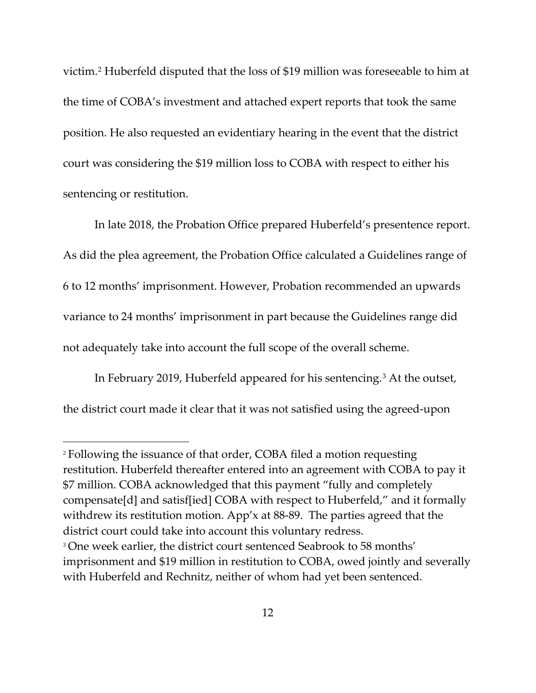victim.[2](#page-11-0) Huberfeld disputed that the loss of \$19 million was foreseeable to him at the time of COBA's investment and attached expert reports that took the same position. He also requested an evidentiary hearing in the event that the district court was considering the \$19 million loss to COBA with respect to either his sentencing or restitution.

In late 2018, the Probation Office prepared Huberfeld's presentence report. As did the plea agreement, the Probation Office calculated a Guidelines range of 6 to 12 months' imprisonment. However, Probation recommended an upwards variance to 24 months' imprisonment in part because the Guidelines range did not adequately take into account the full scope of the overall scheme.

In February 2019, Huberfeld appeared for his sentencing.[3](#page-11-1) At the outset, the district court made it clear that it was not satisfied using the agreed-upon

<span id="page-11-0"></span><sup>2</sup> Following the issuance of that order, COBA filed a motion requesting restitution. Huberfeld thereafter entered into an agreement with COBA to pay it \$7 million. COBA acknowledged that this payment "fully and completely compensate[d] and satisf[ied] COBA with respect to Huberfeld," and it formally withdrew its restitution motion. App'x at 88-89. The parties agreed that the district court could take into account this voluntary redress. <sup>3</sup> One week earlier, the district court sentenced Seabrook to 58 months' imprisonment and \$19 million in restitution to COBA, owed jointly and severally

<span id="page-11-1"></span>with Huberfeld and Rechnitz, neither of whom had yet been sentenced.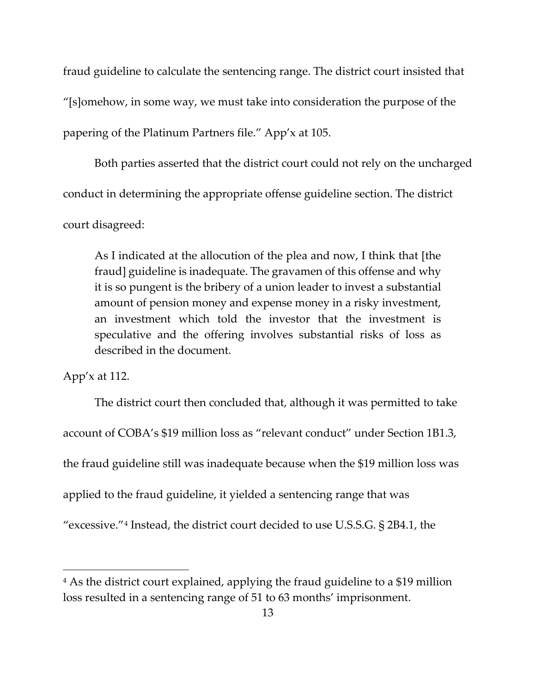fraud guideline to calculate the sentencing range. The district court insisted that "[s]omehow, in some way, we must take into consideration the purpose of the papering of the Platinum Partners file." App'x at 105.

Both parties asserted that the district court could not rely on the uncharged conduct in determining the appropriate offense guideline section. The district court disagreed:

As I indicated at the allocution of the plea and now, I think that [the fraud] guideline is inadequate. The gravamen of this offense and why it is so pungent is the bribery of a union leader to invest a substantial amount of pension money and expense money in a risky investment, an investment which told the investor that the investment is speculative and the offering involves substantial risks of loss as described in the document.

App'x at 112.

The district court then concluded that, although it was permitted to take account of COBA's \$19 million loss as "relevant conduct" under Section 1B1.3, the fraud guideline still was inadequate because when the \$19 million loss was applied to the fraud guideline, it yielded a sentencing range that was "excessive."[4](#page-12-0) Instead, the district court decided to use U.S.S.G. § 2B4.1, the

<span id="page-12-0"></span><sup>4</sup> As the district court explained, applying the fraud guideline to a \$19 million loss resulted in a sentencing range of 51 to 63 months' imprisonment.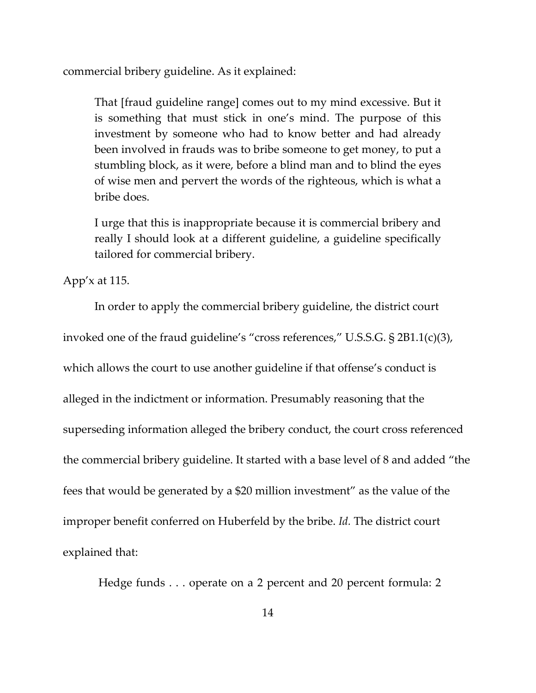commercial bribery guideline. As it explained:

That [fraud guideline range] comes out to my mind excessive. But it is something that must stick in one's mind. The purpose of this investment by someone who had to know better and had already been involved in frauds was to bribe someone to get money, to put a stumbling block, as it were, before a blind man and to blind the eyes of wise men and pervert the words of the righteous, which is what a bribe does.

I urge that this is inappropriate because it is commercial bribery and really I should look at a different guideline, a guideline specifically tailored for commercial bribery.

App'x at 115.

In order to apply the commercial bribery guideline, the district court invoked one of the fraud guideline's "cross references," U.S.S.G. § 2B1.1(c)(3), which allows the court to use another guideline if that offense's conduct is alleged in the indictment or information. Presumably reasoning that the superseding information alleged the bribery conduct, the court cross referenced the commercial bribery guideline. It started with a base level of 8 and added "the fees that would be generated by a \$20 million investment" as the value of the improper benefit conferred on Huberfeld by the bribe. *Id.* The district court explained that:

Hedge funds . . . operate on a 2 percent and 20 percent formula: 2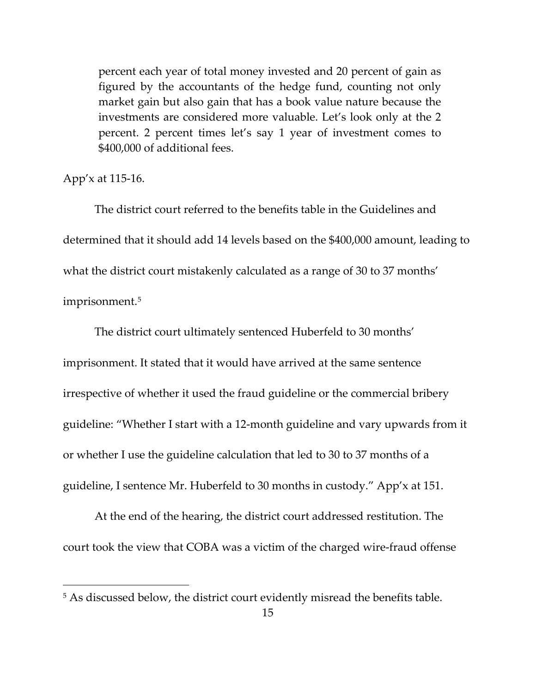percent each year of total money invested and 20 percent of gain as figured by the accountants of the hedge fund, counting not only market gain but also gain that has a book value nature because the investments are considered more valuable. Let's look only at the 2 percent. 2 percent times let's say 1 year of investment comes to \$400,000 of additional fees.

### App'x at 115-16.

The district court referred to the benefits table in the Guidelines and determined that it should add 14 levels based on the \$400,000 amount, leading to what the district court mistakenly calculated as a range of 30 to 37 months' imprisonment.[5](#page-14-0)

The district court ultimately sentenced Huberfeld to 30 months' imprisonment. It stated that it would have arrived at the same sentence irrespective of whether it used the fraud guideline or the commercial bribery guideline: "Whether I start with a 12-month guideline and vary upwards from it or whether I use the guideline calculation that led to 30 to 37 months of a guideline, I sentence Mr. Huberfeld to 30 months in custody." App'x at 151.

At the end of the hearing, the district court addressed restitution. The court took the view that COBA was a victim of the charged wire-fraud offense

<span id="page-14-0"></span><sup>&</sup>lt;sup>5</sup> As discussed below, the district court evidently misread the benefits table.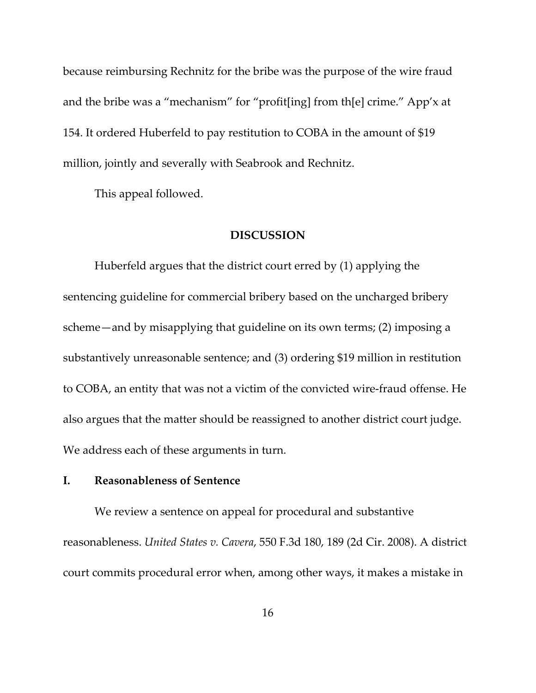because reimbursing Rechnitz for the bribe was the purpose of the wire fraud and the bribe was a "mechanism" for "profit[ing] from th[e] crime." App'x at 154. It ordered Huberfeld to pay restitution to COBA in the amount of \$19 million, jointly and severally with Seabrook and Rechnitz.

This appeal followed.

#### **DISCUSSION**

Huberfeld argues that the district court erred by (1) applying the sentencing guideline for commercial bribery based on the uncharged bribery scheme—and by misapplying that guideline on its own terms; (2) imposing a substantively unreasonable sentence; and (3) ordering \$19 million in restitution to COBA, an entity that was not a victim of the convicted wire-fraud offense. He also argues that the matter should be reassigned to another district court judge. We address each of these arguments in turn.

### **I. Reasonableness of Sentence**

We review a sentence on appeal for procedural and substantive reasonableness. *United States v. Cavera*, 550 F.3d 180, 189 (2d Cir. 2008). A district court commits procedural error when, among other ways, it makes a mistake in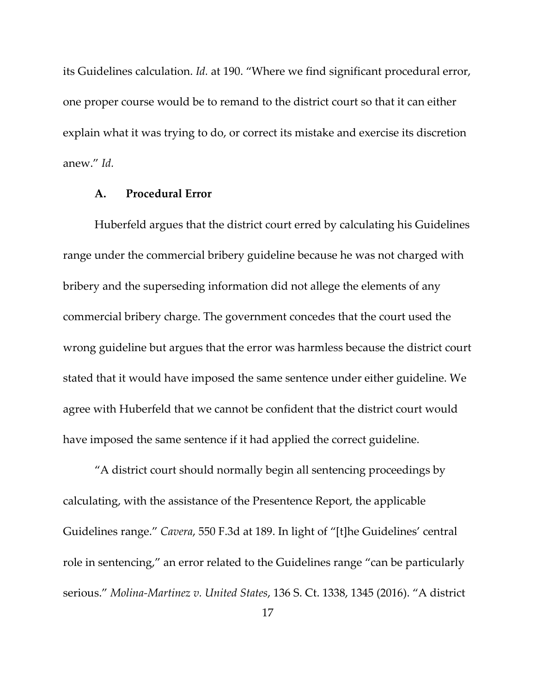its Guidelines calculation. *Id.* at 190. "Where we find significant procedural error, one proper course would be to remand to the district court so that it can either explain what it was trying to do, or correct its mistake and exercise its discretion anew." *Id.*

### **A. Procedural Error**

Huberfeld argues that the district court erred by calculating his Guidelines range under the commercial bribery guideline because he was not charged with bribery and the superseding information did not allege the elements of any commercial bribery charge. The government concedes that the court used the wrong guideline but argues that the error was harmless because the district court stated that it would have imposed the same sentence under either guideline. We agree with Huberfeld that we cannot be confident that the district court would have imposed the same sentence if it had applied the correct guideline.

"A district court should normally begin all sentencing proceedings by calculating, with the assistance of the Presentence Report, the applicable Guidelines range." *Cavera*, 550 F.3d at 189. In light of "[t]he Guidelines' central role in sentencing," an error related to the Guidelines range "can be particularly serious." *Molina-Martinez v. United States*, 136 S. Ct. 1338, 1345 (2016). "A district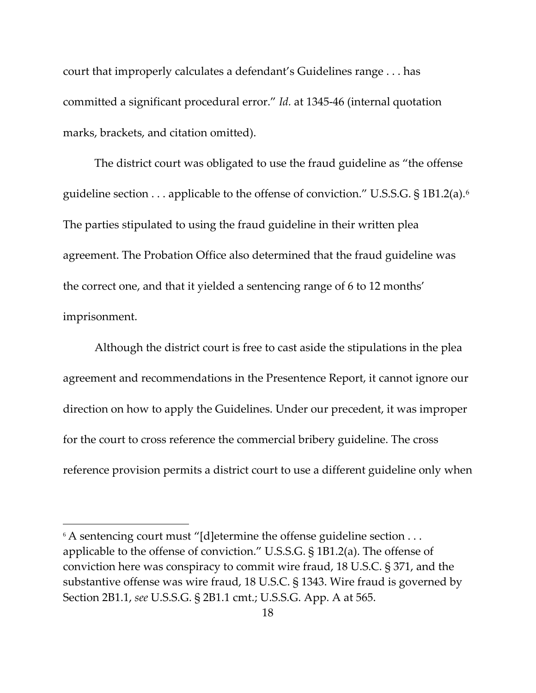court that improperly calculates a defendant's Guidelines range . . . has committed a significant procedural error." *Id.* at 1345-46 (internal quotation marks, brackets, and citation omitted).

The district court was obligated to use the fraud guideline as "the offense guideline section . . . applicable to the offense of conviction." U.S.S.G. § 1B1.2(a).[6](#page-17-0) The parties stipulated to using the fraud guideline in their written plea agreement. The Probation Office also determined that the fraud guideline was the correct one, and that it yielded a sentencing range of 6 to 12 months' imprisonment.

Although the district court is free to cast aside the stipulations in the plea agreement and recommendations in the Presentence Report, it cannot ignore our direction on how to apply the Guidelines. Under our precedent, it was improper for the court to cross reference the commercial bribery guideline. The cross reference provision permits a district court to use a different guideline only when

<span id="page-17-0"></span> $6$  A sentencing court must "[d]etermine the offense guideline section  $\dots$ applicable to the offense of conviction." U.S.S.G. § 1B1.2(a). The offense of conviction here was conspiracy to commit wire fraud, 18 U.S.C. § 371, and the substantive offense was wire fraud, 18 U.S.C. § 1343. Wire fraud is governed by Section 2B1.1, *see* U.S.S.G. § 2B1.1 cmt.; U.S.S.G. App. A at 565.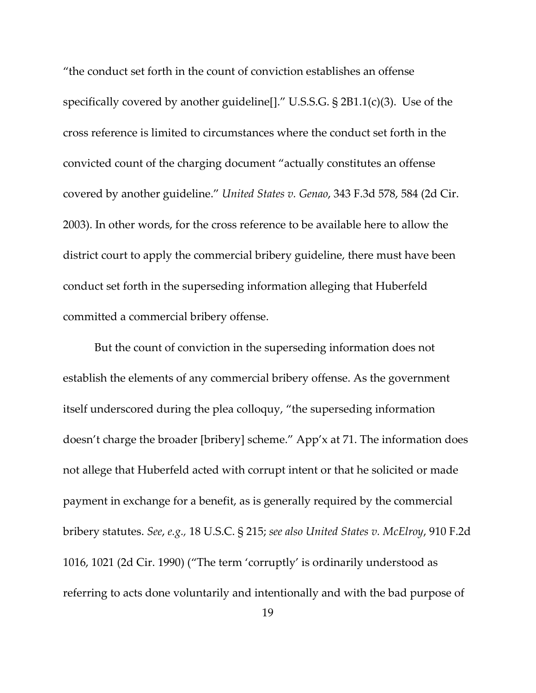"the conduct set forth in the count of conviction establishes an offense specifically covered by another guideline[]." U.S.S.G. § 2B1.1(c)(3). Use of the cross reference is limited to circumstances where the conduct set forth in the convicted count of the charging document "actually constitutes an offense covered by another guideline." *United States v. Genao*, 343 F.3d 578, 584 (2d Cir. 2003). In other words, for the cross reference to be available here to allow the district court to apply the commercial bribery guideline, there must have been conduct set forth in the superseding information alleging that Huberfeld committed a commercial bribery offense.

But the count of conviction in the superseding information does not establish the elements of any commercial bribery offense. As the government itself underscored during the plea colloquy, "the superseding information doesn't charge the broader [bribery] scheme." App'x at 71. The information does not allege that Huberfeld acted with corrupt intent or that he solicited or made payment in exchange for a benefit, as is generally required by the commercial bribery statutes. *See*, *e.g.,* 18 U.S.C. § 215; *see also United States v. McElroy*, 910 F.2d 1016, 1021 (2d Cir. 1990) ("The term 'corruptly' is ordinarily understood as referring to acts done voluntarily and intentionally and with the bad purpose of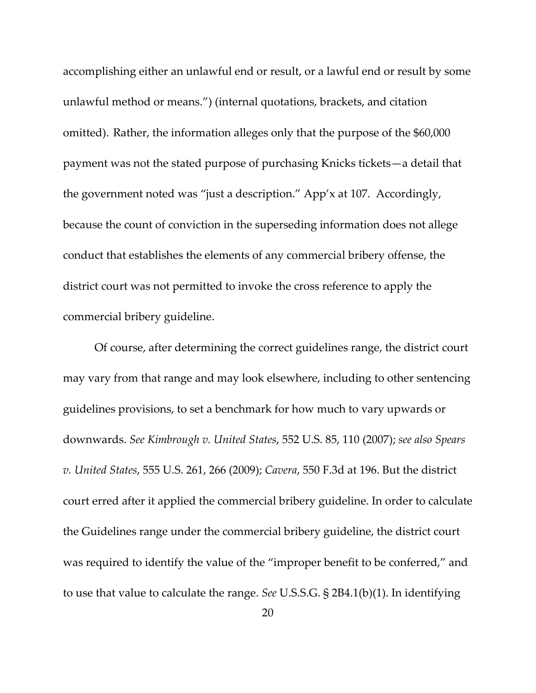accomplishing either an unlawful end or result, or a lawful end or result by some unlawful method or means.") (internal quotations, brackets, and citation omitted). Rather, the information alleges only that the purpose of the \$60,000 payment was not the stated purpose of purchasing Knicks tickets—a detail that the government noted was "just a description." App'x at 107. Accordingly, because the count of conviction in the superseding information does not allege conduct that establishes the elements of any commercial bribery offense, the district court was not permitted to invoke the cross reference to apply the commercial bribery guideline.

Of course, after determining the correct guidelines range, the district court may vary from that range and may look elsewhere, including to other sentencing guidelines provisions, to set a benchmark for how much to vary upwards or downwards. *See Kimbrough v. United States*, 552 U.S. 85, 110 (2007); *see also Spears v. United States*, 555 U.S. 261, 266 (2009); *Cavera*, 550 F.3d at 196. But the district court erred after it applied the commercial bribery guideline. In order to calculate the Guidelines range under the commercial bribery guideline, the district court was required to identify the value of the "improper benefit to be conferred," and to use that value to calculate the range. *See* U.S.S.G. § 2B4.1(b)(1). In identifying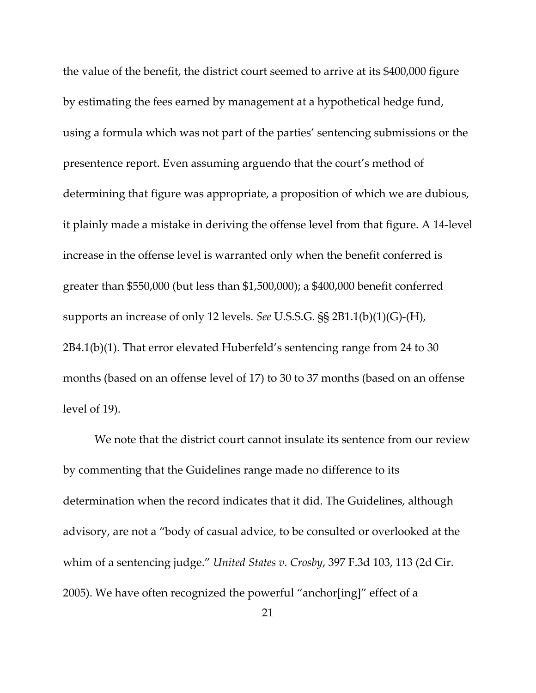the value of the benefit, the district court seemed to arrive at its \$400,000 figure by estimating the fees earned by management at a hypothetical hedge fund, using a formula which was not part of the parties' sentencing submissions or the presentence report. Even assuming arguendo that the court's method of determining that figure was appropriate, a proposition of which we are dubious, it plainly made a mistake in deriving the offense level from that figure. A 14-level increase in the offense level is warranted only when the benefit conferred is greater than \$550,000 (but less than \$1,500,000); a \$400,000 benefit conferred supports an increase of only 12 levels. *See* U.S.S.G. §§ 2B1.1(b)(1)(G)-(H), 2B4.1(b)(1). That error elevated Huberfeld's sentencing range from 24 to 30 months (based on an offense level of 17) to 30 to 37 months (based on an offense level of 19).

We note that the district court cannot insulate its sentence from our review by commenting that the Guidelines range made no difference to its determination when the record indicates that it did. The Guidelines, although advisory, are not a "body of casual advice, to be consulted or overlooked at the whim of a sentencing judge." *United States v. Crosby*, 397 F.3d 103, 113 (2d Cir. 2005). We have often recognized the powerful "anchor[ing]" effect of a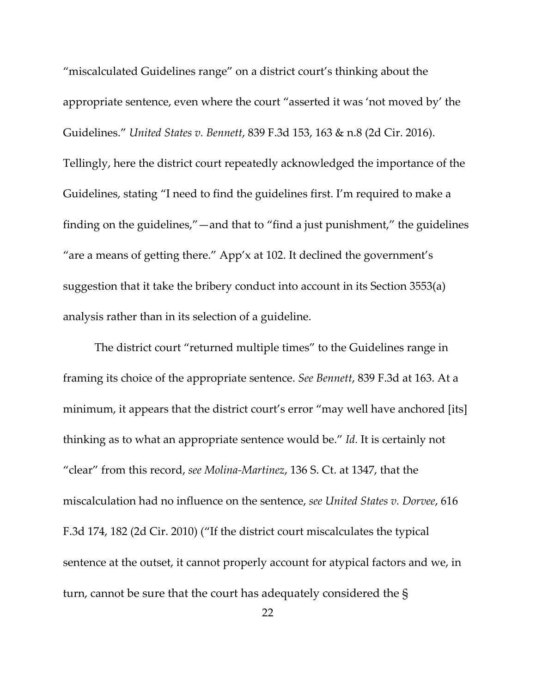"miscalculated Guidelines range" on a district court's thinking about the appropriate sentence, even where the court "asserted it was 'not moved by' the Guidelines." *United States v. Bennett*, 839 F.3d 153, 163 & n.8 (2d Cir. 2016). Tellingly, here the district court repeatedly acknowledged the importance of the Guidelines, stating "I need to find the guidelines first. I'm required to make a finding on the guidelines,"—and that to "find a just punishment," the guidelines "are a means of getting there." App'x at 102. It declined the government's suggestion that it take the bribery conduct into account in its Section 3553(a) analysis rather than in its selection of a guideline.

The district court "returned multiple times" to the Guidelines range in framing its choice of the appropriate sentence. *See Bennett*, 839 F.3d at 163. At a minimum, it appears that the district court's error "may well have anchored [its] thinking as to what an appropriate sentence would be." *Id.* It is certainly not "clear" from this record, *see Molina-Martinez*, 136 S. Ct. at 1347, that the miscalculation had no influence on the sentence, *see United States v. Dorvee*, 616 F.3d 174, 182 (2d Cir. 2010) ("If the district court miscalculates the typical sentence at the outset, it cannot properly account for atypical factors and we, in turn, cannot be sure that the court has adequately considered the §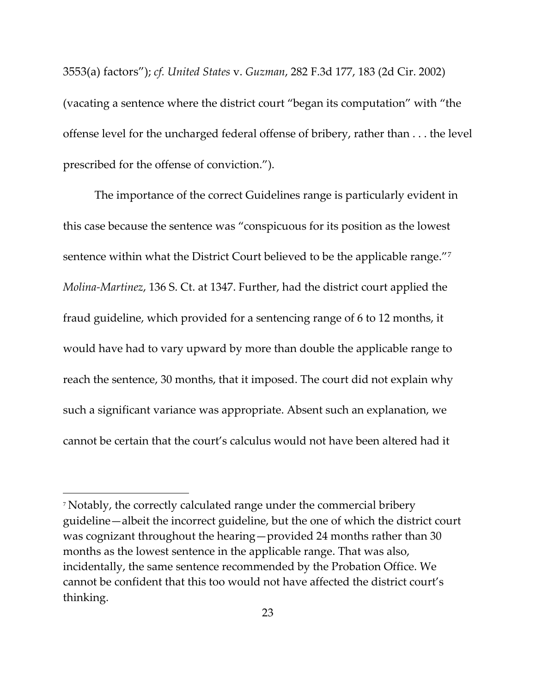3553(a) factors"); *cf. United States* v. *Guzman*, 282 F.3d 177, 183 (2d Cir. 2002) (vacating a sentence where the district court "began its computation" with "the offense level for the uncharged federal offense of bribery, rather than . . . the level prescribed for the offense of conviction.").

The importance of the correct Guidelines range is particularly evident in this case because the sentence was "conspicuous for its position as the lowest sentence within what the District Court believed to be the applicable range."[7](#page-22-0) *Molina-Martinez*, 136 S. Ct. at 1347. Further, had the district court applied the fraud guideline, which provided for a sentencing range of 6 to 12 months, it would have had to vary upward by more than double the applicable range to reach the sentence, 30 months, that it imposed. The court did not explain why such a significant variance was appropriate. Absent such an explanation, we cannot be certain that the court's calculus would not have been altered had it

<span id="page-22-0"></span><sup>7</sup> Notably, the correctly calculated range under the commercial bribery guideline—albeit the incorrect guideline, but the one of which the district court was cognizant throughout the hearing—provided 24 months rather than 30 months as the lowest sentence in the applicable range. That was also, incidentally, the same sentence recommended by the Probation Office. We cannot be confident that this too would not have affected the district court's thinking.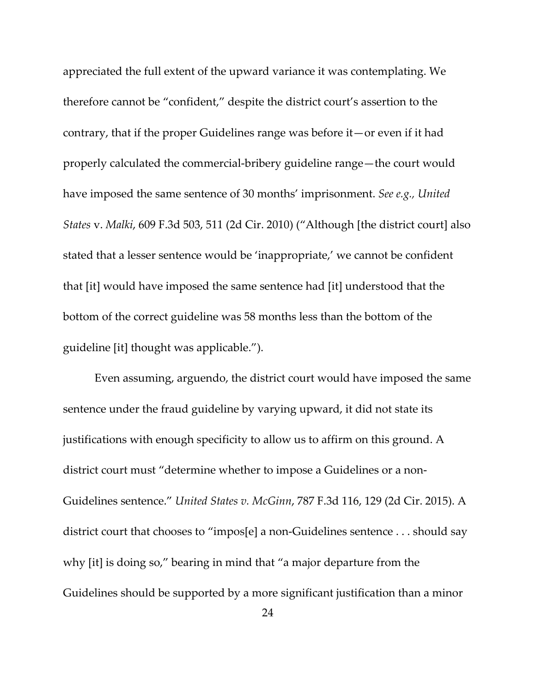appreciated the full extent of the upward variance it was contemplating. We therefore cannot be "confident," despite the district court's assertion to the contrary, that if the proper Guidelines range was before it—or even if it had properly calculated the commercial-bribery guideline range—the court would have imposed the same sentence of 30 months' imprisonment. *See e.g., United States* v. *Malki*, 609 F.3d 503, 511 (2d Cir. 2010) ("Although [the district court] also stated that a lesser sentence would be 'inappropriate,' we cannot be confident that [it] would have imposed the same sentence had [it] understood that the bottom of the correct guideline was 58 months less than the bottom of the guideline [it] thought was applicable.").

Even assuming, arguendo, the district court would have imposed the same sentence under the fraud guideline by varying upward, it did not state its justifications with enough specificity to allow us to affirm on this ground. A district court must "determine whether to impose a Guidelines or a non-Guidelines sentence." *United States v. McGinn*, 787 F.3d 116, 129 (2d Cir. 2015). A district court that chooses to "impos[e] a non-Guidelines sentence . . . should say why [it] is doing so," bearing in mind that "a major departure from the Guidelines should be supported by a more significant justification than a minor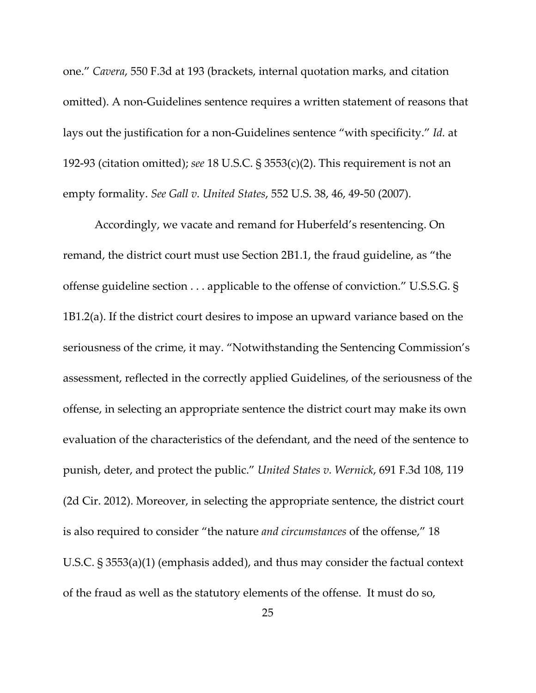one." *Cavera*, 550 F.3d at 193 (brackets, internal quotation marks, and citation omitted). A non-Guidelines sentence requires a written statement of reasons that lays out the justification for a non-Guidelines sentence "with specificity." *Id.* at 192-93 (citation omitted); *see* 18 U.S.C. § 3553(c)(2). This requirement is not an empty formality. *See Gall v. United States*, 552 U.S. 38, 46, 49-50 (2007).

Accordingly, we vacate and remand for Huberfeld's resentencing. On remand, the district court must use Section 2B1.1, the fraud guideline, as "the offense guideline section . . . applicable to the offense of conviction." U.S.S.G. § 1B1.2(a). If the district court desires to impose an upward variance based on the seriousness of the crime, it may. "Notwithstanding the Sentencing Commission's assessment, reflected in the correctly applied Guidelines, of the seriousness of the offense, in selecting an appropriate sentence the district court may make its own evaluation of the characteristics of the defendant, and the need of the sentence to punish, deter, and protect the public." *United States v. Wernick*, 691 F.3d 108, 119 (2d Cir. 2012). Moreover, in selecting the appropriate sentence, the district court is also required to consider "the nature *and circumstances* of the offense," 18 U.S.C. § 3553(a)(1) (emphasis added), and thus may consider the factual context of the fraud as well as the statutory elements of the offense. It must do so,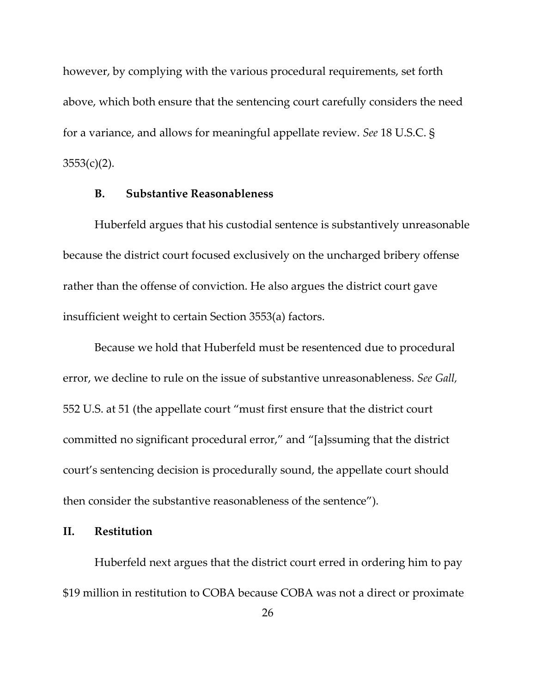however, by complying with the various procedural requirements, set forth above, which both ensure that the sentencing court carefully considers the need for a variance, and allows for meaningful appellate review. *See* 18 U.S.C. §  $3553(c)(2)$ .

## **B. Substantive Reasonableness**

Huberfeld argues that his custodial sentence is substantively unreasonable because the district court focused exclusively on the uncharged bribery offense rather than the offense of conviction. He also argues the district court gave insufficient weight to certain Section 3553(a) factors.

Because we hold that Huberfeld must be resentenced due to procedural error, we decline to rule on the issue of substantive unreasonableness. *See Gall,* 552 U.S. at 51 (the appellate court "must first ensure that the district court committed no significant procedural error," and "[a]ssuming that the district court's sentencing decision is procedurally sound, the appellate court should then consider the substantive reasonableness of the sentence").

### **II. Restitution**

Huberfeld next argues that the district court erred in ordering him to pay \$19 million in restitution to COBA because COBA was not a direct or proximate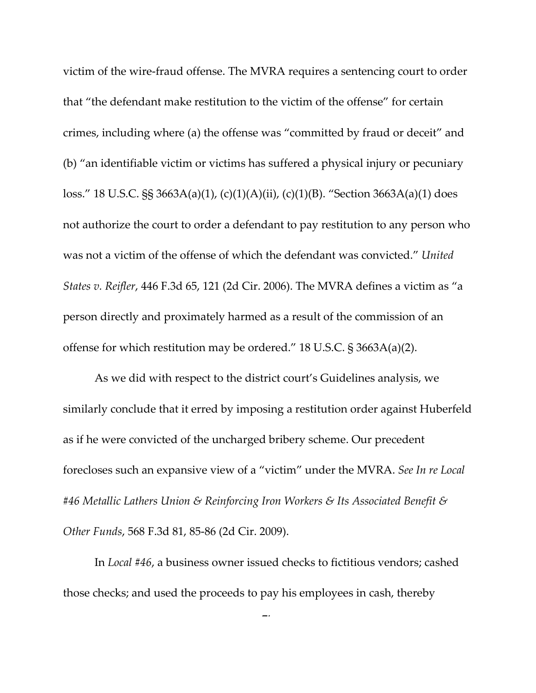victim of the wire-fraud offense. The MVRA requires a sentencing court to order that "the defendant make restitution to the victim of the offense" for certain crimes, including where (a) the offense was "committed by fraud or deceit" and (b) "an identifiable victim or victims has suffered a physical injury or pecuniary loss." 18 U.S.C. §§ 3663A(a)(1), (c)(1)(A)(ii), (c)(1)(B). "Section 3663A(a)(1) does not authorize the court to order a defendant to pay restitution to any person who was not a victim of the offense of which the defendant was convicted." *United States v. Reifler*, 446 F.3d 65, 121 (2d Cir. 2006). The MVRA defines a victim as "a person directly and proximately harmed as a result of the commission of an offense for which restitution may be ordered." 18 U.S.C. § 3663A(a)(2).

As we did with respect to the district court's Guidelines analysis, we similarly conclude that it erred by imposing a restitution order against Huberfeld as if he were convicted of the uncharged bribery scheme. Our precedent forecloses such an expansive view of a "victim" under the MVRA. *See In re Local #46 Metallic Lathers Union & Reinforcing Iron Workers & Its Associated Benefit & Other Funds*, 568 F.3d 81, 85-86 (2d Cir. 2009).

In *Local #46*, a business owner issued checks to fictitious vendors; cashed those checks; and used the proceeds to pay his employees in cash, thereby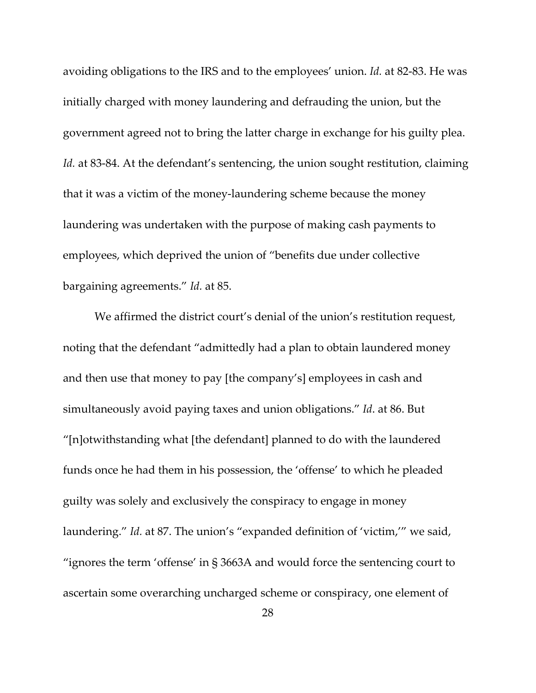avoiding obligations to the IRS and to the employees' union. *Id.* at 82-83. He was initially charged with money laundering and defrauding the union, but the government agreed not to bring the latter charge in exchange for his guilty plea. Id. at 83-84. At the defendant's sentencing, the union sought restitution, claiming that it was a victim of the money-laundering scheme because the money laundering was undertaken with the purpose of making cash payments to employees, which deprived the union of "benefits due under collective bargaining agreements." *Id.* at 85.

We affirmed the district court's denial of the union's restitution request, noting that the defendant "admittedly had a plan to obtain laundered money and then use that money to pay [the company's] employees in cash and simultaneously avoid paying taxes and union obligations." *Id*. at 86. But "[n]otwithstanding what [the defendant] planned to do with the laundered funds once he had them in his possession, the 'offense' to which he pleaded guilty was solely and exclusively the conspiracy to engage in money laundering." *Id.* at 87. The union's "expanded definition of 'victim,'" we said, "ignores the term 'offense' in § 3663A and would force the sentencing court to ascertain some overarching uncharged scheme or conspiracy, one element of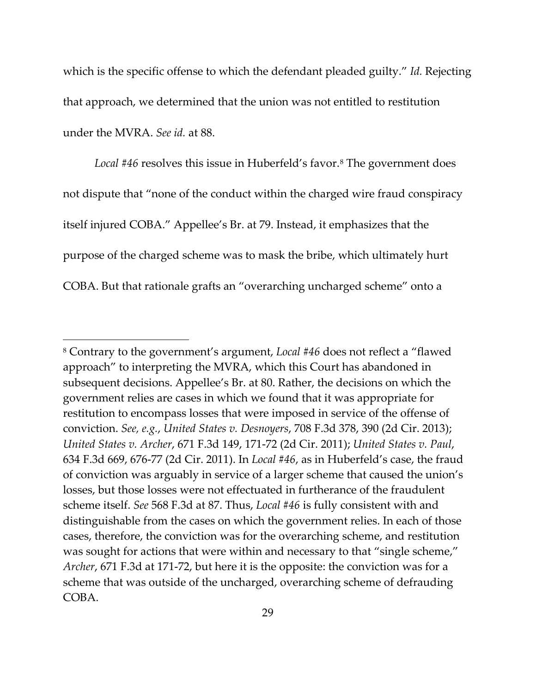which is the specific offense to which the defendant pleaded guilty." *Id.* Rejecting that approach, we determined that the union was not entitled to restitution under the MVRA. *See id.* at 88.

Local #46 resolves this issue in Huberfeld's favor.<sup>[8](#page-28-0)</sup> The government does not dispute that "none of the conduct within the charged wire fraud conspiracy itself injured COBA." Appellee's Br. at 79. Instead, it emphasizes that the purpose of the charged scheme was to mask the bribe, which ultimately hurt COBA. But that rationale grafts an "overarching uncharged scheme" onto a

<span id="page-28-0"></span><sup>8</sup> Contrary to the government's argument, *Local #46* does not reflect a "flawed approach" to interpreting the MVRA, which this Court has abandoned in subsequent decisions. Appellee's Br. at 80. Rather, the decisions on which the government relies are cases in which we found that it was appropriate for restitution to encompass losses that were imposed in service of the offense of conviction. *See, e.g.*, *United States v. Desnoyers*, 708 F.3d 378, 390 (2d Cir. 2013); *United States v. Archer*, 671 F.3d 149, 171-72 (2d Cir. 2011); *United States v. Paul*, 634 F.3d 669, 676-77 (2d Cir. 2011). In *Local #46*, as in Huberfeld's case, the fraud of conviction was arguably in service of a larger scheme that caused the union's losses, but those losses were not effectuated in furtherance of the fraudulent scheme itself. *See* 568 F.3d at 87. Thus, *Local #46* is fully consistent with and distinguishable from the cases on which the government relies. In each of those cases, therefore, the conviction was for the overarching scheme, and restitution was sought for actions that were within and necessary to that "single scheme," *Archer*, 671 F.3d at 171-72, but here it is the opposite: the conviction was for a scheme that was outside of the uncharged, overarching scheme of defrauding COBA.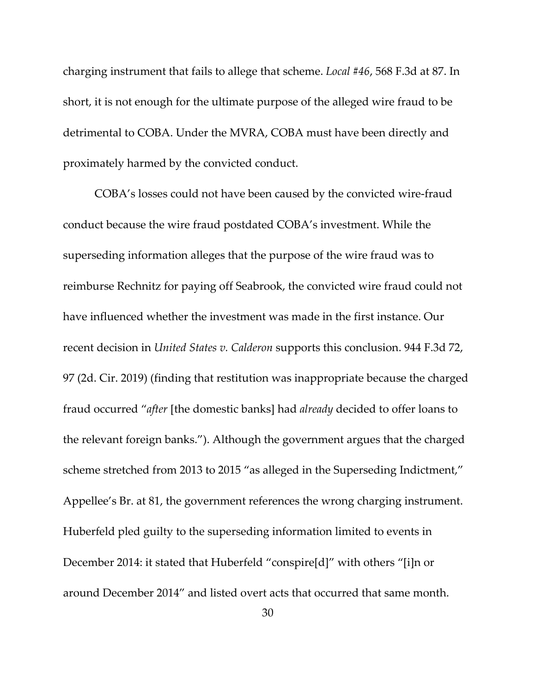charging instrument that fails to allege that scheme. *Local #46*, 568 F.3d at 87. In short, it is not enough for the ultimate purpose of the alleged wire fraud to be detrimental to COBA. Under the MVRA, COBA must have been directly and proximately harmed by the convicted conduct.

COBA's losses could not have been caused by the convicted wire-fraud conduct because the wire fraud postdated COBA's investment. While the superseding information alleges that the purpose of the wire fraud was to reimburse Rechnitz for paying off Seabrook, the convicted wire fraud could not have influenced whether the investment was made in the first instance. Our recent decision in *United States v. Calderon* supports this conclusion. 944 F.3d 72, 97 (2d. Cir. 2019) (finding that restitution was inappropriate because the charged fraud occurred "*after* [the domestic banks] had *already* decided to offer loans to the relevant foreign banks."). Although the government argues that the charged scheme stretched from 2013 to 2015 "as alleged in the Superseding Indictment," Appellee's Br. at 81, the government references the wrong charging instrument. Huberfeld pled guilty to the superseding information limited to events in December 2014: it stated that Huberfeld "conspire[d]" with others "[i]n or around December 2014" and listed overt acts that occurred that same month.